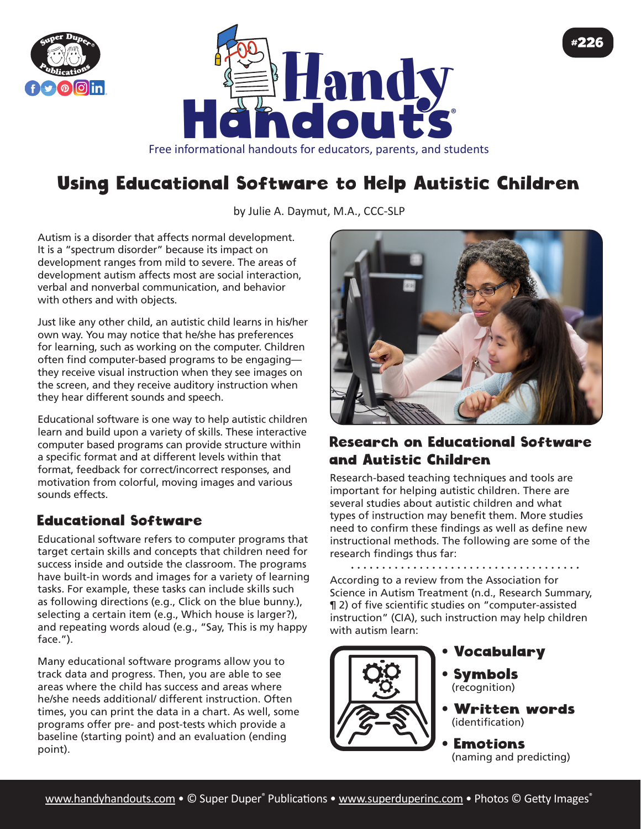



# Using Educational Software to Help Autistic Children

by Julie A. Daymut, M.A., CCC-SLP

Autism is a disorder that affects normal development. It is a "spectrum disorder" because its impact on development ranges from mild to severe. The areas of development autism affects most are social interaction, verbal and nonverbal communication, and behavior with others and with objects.

Just like any other child, an autistic child learns in his/her own way. You may notice that he/she has preferences for learning, such as working on the computer. Children often find computer-based programs to be engaging they receive visual instruction when they see images on the screen, and they receive auditory instruction when they hear different sounds and speech.

Educational software is one way to help autistic children learn and build upon a variety of skills. These interactive computer based programs can provide structure within a specific format and at different levels within that format, feedback for correct/incorrect responses, and motivation from colorful, moving images and various sounds effects.

## Educational Software

Educational software refers to computer programs that target certain skills and concepts that children need for success inside and outside the classroom. The programs have built-in words and images for a variety of learning tasks. For example, these tasks can include skills such as following directions (e.g., Click on the blue bunny.), selecting a certain item (e.g., Which house is larger?), and repeating words aloud (e.g., "Say, This is my happy face.").

Many educational software programs allow you to track data and progress. Then, you are able to see areas where the child has success and areas where he/she needs additional/ different instruction. Often times, you can print the data in a chart. As well, some programs offer pre- and post-tests which provide a baseline (starting point) and an evaluation (ending point).



#226

## Research on Educational Software and Autistic Children

Research-based teaching techniques and tools are important for helping autistic children. There are several studies about autistic children and what types of instruction may benefit them. More studies need to confirm these findings as well as define new instructional methods. The following are some of the research findings thus far:

According to a review from the Association for Science in Autism Treatment (n.d., Research Summary, ¶ 2) of five scientific studies on "computer-assisted instruction" (CIA), such instruction may help children with autism learn:



- Vocabulary
- Symbols(recognition)
- Written words(identification)

**Emotions** (naming and predicting)